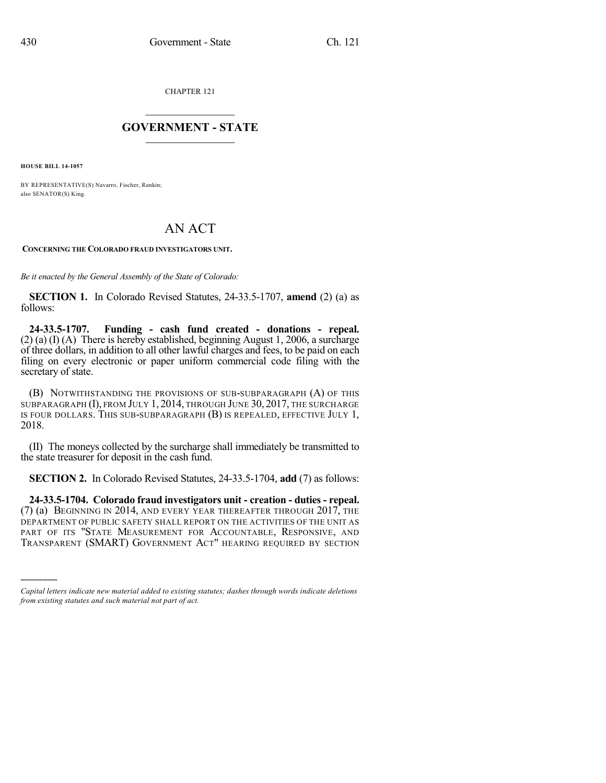CHAPTER 121

## $\overline{\phantom{a}}$  . The set of the set of the set of the set of the set of the set of the set of the set of the set of the set of the set of the set of the set of the set of the set of the set of the set of the set of the set o **GOVERNMENT - STATE**  $\_$

**HOUSE BILL 14-1057**

)))))

BY REPRESENTATIVE(S) Navarro, Fischer, Rankin; also SENATOR(S) King.

## AN ACT

**CONCERNING THE COLORADO FRAUD INVESTIGATORS UNIT.**

*Be it enacted by the General Assembly of the State of Colorado:*

**SECTION 1.** In Colorado Revised Statutes, 24-33.5-1707, **amend** (2) (a) as follows:

**24-33.5-1707. Funding - cash fund created - donations - repeal.** (2) (a) (I) (A) There is hereby established, beginning August 1, 2006, a surcharge of three dollars, in addition to all other lawful charges and fees, to be paid on each filing on every electronic or paper uniform commercial code filing with the secretary of state.

(B) NOTWITHSTANDING THE PROVISIONS OF SUB-SUBPARAGRAPH (A) OF THIS SUBPARAGRAPH (I), FROM JULY 1, 2014, THROUGH JUNE 30, 2017, THE SURCHARGE IS FOUR DOLLARS. THIS SUB-SUBPARAGRAPH (B) IS REPEALED, EFFECTIVE JULY 1, 2018.

(II) The moneys collected by the surcharge shall immediately be transmitted to the state treasurer for deposit in the cash fund.

**SECTION 2.** In Colorado Revised Statutes, 24-33.5-1704, **add** (7) as follows:

**24-33.5-1704. Colorado fraud investigators unit - creation - duties - repeal.** (7) (a) BEGINNING IN 2014, AND EVERY YEAR THEREAFTER THROUGH 2017, THE DEPARTMENT OF PUBLIC SAFETY SHALL REPORT ON THE ACTIVITIES OF THE UNIT AS PART OF ITS "STATE MEASUREMENT FOR ACCOUNTABLE, RESPONSIVE, AND TRANSPARENT (SMART) GOVERNMENT ACT" HEARING REQUIRED BY SECTION

*Capital letters indicate new material added to existing statutes; dashes through words indicate deletions from existing statutes and such material not part of act.*